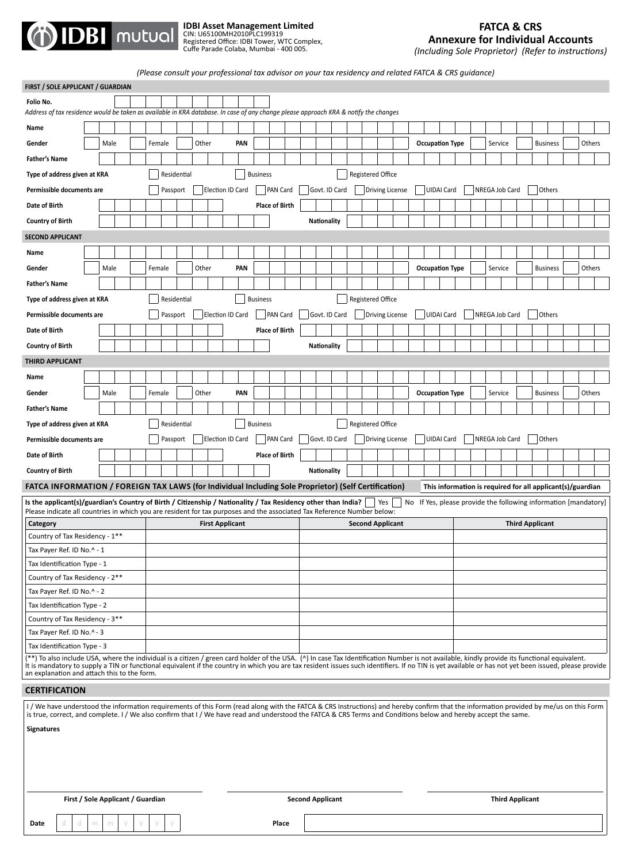

**FIRST / SOLE APPLICANT / GUARDIAN**

**IDBI Asset Management Limited**<br>CIN: U65100MH2010PLC199319<br>Registered Office: IDBI Tower, WTC Complex,<br>Cuffe Parade Colaba, Mumbai - 400 005.

*(Including Sole Proprietor) (Refer to instructions)*

*(Please consult your professional tax advisor on your tax residency and related FATCA & CRS guidance)*

| FIRSI / SULE APPLICANT / GUARDIAN                                                                                                                                                                                                                                                                                                                                                                                                                    |  |                                                                                                                                                                                                                                                                                                                                                         |  |                                |                                |       |  |                        |                 |                          |                          |                         |  |                          |  |  |                        |                          |  |         |                        |                        |                 |  |  |        |
|------------------------------------------------------------------------------------------------------------------------------------------------------------------------------------------------------------------------------------------------------------------------------------------------------------------------------------------------------------------------------------------------------------------------------------------------------|--|---------------------------------------------------------------------------------------------------------------------------------------------------------------------------------------------------------------------------------------------------------------------------------------------------------------------------------------------------------|--|--------------------------------|--------------------------------|-------|--|------------------------|-----------------|--------------------------|--------------------------|-------------------------|--|--------------------------|--|--|------------------------|--------------------------|--|---------|------------------------|------------------------|-----------------|--|--|--------|
| Folio No.                                                                                                                                                                                                                                                                                                                                                                                                                                            |  |                                                                                                                                                                                                                                                                                                                                                         |  |                                |                                |       |  |                        |                 |                          |                          |                         |  |                          |  |  |                        |                          |  |         |                        |                        |                 |  |  |        |
| Address of tax residence would be taken as available in KRA database. In case of any change please approach KRA & notify the changes                                                                                                                                                                                                                                                                                                                 |  |                                                                                                                                                                                                                                                                                                                                                         |  |                                |                                |       |  |                        |                 |                          |                          |                         |  |                          |  |  |                        |                          |  |         |                        |                        |                 |  |  |        |
| Name                                                                                                                                                                                                                                                                                                                                                                                                                                                 |  |                                                                                                                                                                                                                                                                                                                                                         |  |                                |                                |       |  |                        |                 |                          |                          |                         |  |                          |  |  |                        |                          |  |         |                        |                        |                 |  |  |        |
| Gender                                                                                                                                                                                                                                                                                                                                                                                                                                               |  | Male                                                                                                                                                                                                                                                                                                                                                    |  | Female                         |                                | Other |  | PAN                    |                 |                          |                          |                         |  |                          |  |  | <b>Occupation Type</b> |                          |  | Service |                        |                        | <b>Business</b> |  |  | Others |
| <b>Father's Name</b>                                                                                                                                                                                                                                                                                                                                                                                                                                 |  |                                                                                                                                                                                                                                                                                                                                                         |  |                                |                                |       |  |                        |                 |                          |                          |                         |  |                          |  |  |                        |                          |  |         |                        |                        |                 |  |  |        |
| Type of address given at KRA                                                                                                                                                                                                                                                                                                                                                                                                                         |  |                                                                                                                                                                                                                                                                                                                                                         |  |                                | <b>Business</b><br>Residential |       |  |                        |                 |                          | <b>Registered Office</b> |                         |  |                          |  |  |                        |                          |  |         |                        |                        |                 |  |  |        |
| Permissible documents are                                                                                                                                                                                                                                                                                                                                                                                                                            |  |                                                                                                                                                                                                                                                                                                                                                         |  |                                | Passport                       |       |  | Election ID Card       | <b>PAN Card</b> |                          |                          | Govt. ID Card           |  | <b>Driving License</b>   |  |  | <b>UIDAI Card</b>      | NREGA Job Card<br>Others |  |         |                        |                        |                 |  |  |        |
| Date of Birth                                                                                                                                                                                                                                                                                                                                                                                                                                        |  |                                                                                                                                                                                                                                                                                                                                                         |  |                                |                                |       |  |                        |                 | <b>Place of Birth</b>    |                          |                         |  |                          |  |  |                        |                          |  |         |                        |                        |                 |  |  |        |
| <b>Country of Birth</b>                                                                                                                                                                                                                                                                                                                                                                                                                              |  |                                                                                                                                                                                                                                                                                                                                                         |  |                                |                                |       |  |                        |                 |                          |                          | <b>Nationality</b>      |  |                          |  |  |                        |                          |  |         |                        |                        |                 |  |  |        |
| <b>SECOND APPLICANT</b>                                                                                                                                                                                                                                                                                                                                                                                                                              |  |                                                                                                                                                                                                                                                                                                                                                         |  |                                |                                |       |  |                        |                 |                          |                          |                         |  |                          |  |  |                        |                          |  |         |                        |                        |                 |  |  |        |
| Name                                                                                                                                                                                                                                                                                                                                                                                                                                                 |  |                                                                                                                                                                                                                                                                                                                                                         |  |                                |                                |       |  |                        |                 |                          |                          |                         |  |                          |  |  |                        |                          |  |         |                        |                        |                 |  |  |        |
| Gender                                                                                                                                                                                                                                                                                                                                                                                                                                               |  | Male                                                                                                                                                                                                                                                                                                                                                    |  | Female                         |                                | Other |  | PAN                    |                 |                          |                          |                         |  |                          |  |  | <b>Occupation Type</b> |                          |  | Service |                        |                        | <b>Business</b> |  |  | Others |
| <b>Father's Name</b>                                                                                                                                                                                                                                                                                                                                                                                                                                 |  |                                                                                                                                                                                                                                                                                                                                                         |  |                                |                                |       |  |                        |                 |                          |                          |                         |  |                          |  |  |                        |                          |  |         |                        |                        |                 |  |  |        |
| Type of address given at KRA                                                                                                                                                                                                                                                                                                                                                                                                                         |  |                                                                                                                                                                                                                                                                                                                                                         |  |                                | Residential                    |       |  |                        | <b>Business</b> |                          |                          |                         |  | <b>Registered Office</b> |  |  |                        |                          |  |         |                        |                        |                 |  |  |        |
|                                                                                                                                                                                                                                                                                                                                                                                                                                                      |  |                                                                                                                                                                                                                                                                                                                                                         |  |                                |                                |       |  |                        |                 |                          |                          |                         |  |                          |  |  |                        |                          |  |         |                        |                        |                 |  |  |        |
| Permissible documents are                                                                                                                                                                                                                                                                                                                                                                                                                            |  |                                                                                                                                                                                                                                                                                                                                                         |  |                                | Passport                       |       |  | Election ID Card       |                 | <b>PAN Card</b>          |                          | Govt. ID Card           |  | <b>Driving License</b>   |  |  | UIDAI Card             |                          |  |         | NREGA Job Card         |                        | Others          |  |  |        |
| Date of Birth                                                                                                                                                                                                                                                                                                                                                                                                                                        |  |                                                                                                                                                                                                                                                                                                                                                         |  |                                |                                |       |  |                        |                 | <b>Place of Birth</b>    |                          |                         |  |                          |  |  |                        |                          |  |         |                        |                        |                 |  |  |        |
| <b>Country of Birth</b>                                                                                                                                                                                                                                                                                                                                                                                                                              |  |                                                                                                                                                                                                                                                                                                                                                         |  |                                |                                |       |  |                        |                 |                          |                          | <b>Nationality</b>      |  |                          |  |  |                        |                          |  |         |                        |                        |                 |  |  |        |
| <b>THIRD APPLICANT</b>                                                                                                                                                                                                                                                                                                                                                                                                                               |  |                                                                                                                                                                                                                                                                                                                                                         |  |                                |                                |       |  |                        |                 |                          |                          |                         |  |                          |  |  |                        |                          |  |         |                        |                        |                 |  |  |        |
| Name                                                                                                                                                                                                                                                                                                                                                                                                                                                 |  |                                                                                                                                                                                                                                                                                                                                                         |  |                                |                                |       |  |                        |                 |                          |                          |                         |  |                          |  |  |                        |                          |  |         |                        |                        |                 |  |  |        |
| Gender                                                                                                                                                                                                                                                                                                                                                                                                                                               |  | Male                                                                                                                                                                                                                                                                                                                                                    |  | Female                         |                                | Other |  | PAN                    |                 |                          |                          |                         |  |                          |  |  | <b>Occupation Type</b> |                          |  | Service |                        |                        | <b>Business</b> |  |  | Others |
| <b>Father's Name</b>                                                                                                                                                                                                                                                                                                                                                                                                                                 |  |                                                                                                                                                                                                                                                                                                                                                         |  |                                |                                |       |  |                        |                 |                          |                          |                         |  |                          |  |  |                        |                          |  |         |                        |                        |                 |  |  |        |
| Type of address given at KRA                                                                                                                                                                                                                                                                                                                                                                                                                         |  |                                                                                                                                                                                                                                                                                                                                                         |  | Residential<br><b>Business</b> |                                |       |  |                        |                 | <b>Registered Office</b> |                          |                         |  |                          |  |  |                        |                          |  |         |                        |                        |                 |  |  |        |
| Permissible documents are                                                                                                                                                                                                                                                                                                                                                                                                                            |  |                                                                                                                                                                                                                                                                                                                                                         |  |                                | Passport                       |       |  | Election ID Card       |                 | <b>PAN Card</b>          |                          | Govt. ID Card           |  | <b>Driving License</b>   |  |  | <b>UIDAI Card</b>      |                          |  |         | NREGA Job Card         |                        | Others          |  |  |        |
| Date of Birth                                                                                                                                                                                                                                                                                                                                                                                                                                        |  |                                                                                                                                                                                                                                                                                                                                                         |  |                                |                                |       |  |                        |                 | <b>Place of Birth</b>    |                          |                         |  |                          |  |  |                        |                          |  |         |                        |                        |                 |  |  |        |
| <b>Country of Birth</b>                                                                                                                                                                                                                                                                                                                                                                                                                              |  |                                                                                                                                                                                                                                                                                                                                                         |  |                                |                                |       |  |                        |                 |                          |                          | Nationality             |  |                          |  |  |                        |                          |  |         |                        |                        |                 |  |  |        |
|                                                                                                                                                                                                                                                                                                                                                                                                                                                      |  |                                                                                                                                                                                                                                                                                                                                                         |  |                                |                                |       |  |                        |                 |                          |                          |                         |  |                          |  |  |                        |                          |  |         |                        |                        |                 |  |  |        |
| FATCA INFORMATION / FOREIGN TAX LAWS (for Individual Including Sole Proprietor) (Self Certification)<br>This information is required for all applicant(s)/guardian<br>Is the applicant(s)/guardian's Country of Birth / Citizenship / Nationality / Tax Residency other than India?<br>  Yes<br>No If Yes, please provide the following information [mandatory]                                                                                      |  |                                                                                                                                                                                                                                                                                                                                                         |  |                                |                                |       |  |                        |                 |                          |                          |                         |  |                          |  |  |                        |                          |  |         |                        |                        |                 |  |  |        |
| Please indicate all countries in which you are resident for tax purposes and the associated Tax Reference Number below:                                                                                                                                                                                                                                                                                                                              |  |                                                                                                                                                                                                                                                                                                                                                         |  |                                |                                |       |  |                        |                 |                          |                          |                         |  |                          |  |  |                        |                          |  |         |                        |                        |                 |  |  |        |
| Category                                                                                                                                                                                                                                                                                                                                                                                                                                             |  |                                                                                                                                                                                                                                                                                                                                                         |  |                                |                                |       |  | <b>First Applicant</b> |                 |                          |                          |                         |  | <b>Second Applicant</b>  |  |  |                        |                          |  |         |                        | <b>Third Applicant</b> |                 |  |  |        |
| Country of Tax Residency - 1**                                                                                                                                                                                                                                                                                                                                                                                                                       |  |                                                                                                                                                                                                                                                                                                                                                         |  |                                |                                |       |  |                        |                 |                          |                          |                         |  |                          |  |  |                        |                          |  |         |                        |                        |                 |  |  |        |
| Tax Payer Ref. ID No.^ - 1                                                                                                                                                                                                                                                                                                                                                                                                                           |  |                                                                                                                                                                                                                                                                                                                                                         |  |                                |                                |       |  |                        |                 |                          |                          |                         |  |                          |  |  |                        |                          |  |         |                        |                        |                 |  |  |        |
| Tax Identification Type - 1<br>Country of Tax Residency - 2**                                                                                                                                                                                                                                                                                                                                                                                        |  |                                                                                                                                                                                                                                                                                                                                                         |  |                                |                                |       |  |                        |                 |                          |                          |                         |  |                          |  |  |                        |                          |  |         |                        |                        |                 |  |  |        |
| Tax Payer Ref. ID No.^ - 2                                                                                                                                                                                                                                                                                                                                                                                                                           |  |                                                                                                                                                                                                                                                                                                                                                         |  |                                |                                |       |  |                        |                 |                          |                          |                         |  |                          |  |  |                        |                          |  |         |                        |                        |                 |  |  |        |
| Tax Identification Type - 2                                                                                                                                                                                                                                                                                                                                                                                                                          |  |                                                                                                                                                                                                                                                                                                                                                         |  |                                |                                |       |  |                        |                 |                          |                          |                         |  |                          |  |  |                        |                          |  |         |                        |                        |                 |  |  |        |
| Country of Tax Residency - 3**                                                                                                                                                                                                                                                                                                                                                                                                                       |  |                                                                                                                                                                                                                                                                                                                                                         |  |                                |                                |       |  |                        |                 |                          |                          |                         |  |                          |  |  |                        |                          |  |         |                        |                        |                 |  |  |        |
| Tax Payer Ref. ID No.^ - 3                                                                                                                                                                                                                                                                                                                                                                                                                           |  |                                                                                                                                                                                                                                                                                                                                                         |  |                                |                                |       |  |                        |                 |                          |                          |                         |  |                          |  |  |                        |                          |  |         |                        |                        |                 |  |  |        |
| Tax Identification Type - 3                                                                                                                                                                                                                                                                                                                                                                                                                          |  |                                                                                                                                                                                                                                                                                                                                                         |  |                                |                                |       |  |                        |                 |                          |                          |                         |  |                          |  |  |                        |                          |  |         |                        |                        |                 |  |  |        |
| (**) To also include USA, where the individual is a citizen / green card holder of the USA. (^) In case Tax Identification Number is not available, kindly provide its functional equivalent.<br>It is mandatory to supply a TIN or functional equivalent if the country in which you are tax resident issues such identifiers. If no TIN is yet available or has not yet been issued, please provide<br>an explanation and attach this to the form. |  |                                                                                                                                                                                                                                                                                                                                                         |  |                                |                                |       |  |                        |                 |                          |                          |                         |  |                          |  |  |                        |                          |  |         |                        |                        |                 |  |  |        |
| <b>CERTIFICATION</b>                                                                                                                                                                                                                                                                                                                                                                                                                                 |  |                                                                                                                                                                                                                                                                                                                                                         |  |                                |                                |       |  |                        |                 |                          |                          |                         |  |                          |  |  |                        |                          |  |         |                        |                        |                 |  |  |        |
|                                                                                                                                                                                                                                                                                                                                                                                                                                                      |  |                                                                                                                                                                                                                                                                                                                                                         |  |                                |                                |       |  |                        |                 |                          |                          |                         |  |                          |  |  |                        |                          |  |         |                        |                        |                 |  |  |        |
|                                                                                                                                                                                                                                                                                                                                                                                                                                                      |  | I/We have understood the information requirements of this Form (read along with the FATCA & CRS Instructions) and hereby confirm that the information provided by me/us on this Form<br>is true, correct, and complete. I / We also confirm that I / We have read and understood the FATCA & CRS Terms and Conditions below and hereby accept the same. |  |                                |                                |       |  |                        |                 |                          |                          |                         |  |                          |  |  |                        |                          |  |         |                        |                        |                 |  |  |        |
|                                                                                                                                                                                                                                                                                                                                                                                                                                                      |  |                                                                                                                                                                                                                                                                                                                                                         |  |                                |                                |       |  |                        |                 |                          |                          |                         |  |                          |  |  |                        |                          |  |         |                        |                        |                 |  |  |        |
| <b>Signatures</b>                                                                                                                                                                                                                                                                                                                                                                                                                                    |  |                                                                                                                                                                                                                                                                                                                                                         |  |                                |                                |       |  |                        |                 |                          |                          |                         |  |                          |  |  |                        |                          |  |         |                        |                        |                 |  |  |        |
|                                                                                                                                                                                                                                                                                                                                                                                                                                                      |  |                                                                                                                                                                                                                                                                                                                                                         |  |                                |                                |       |  |                        |                 |                          |                          |                         |  |                          |  |  |                        |                          |  |         |                        |                        |                 |  |  |        |
|                                                                                                                                                                                                                                                                                                                                                                                                                                                      |  |                                                                                                                                                                                                                                                                                                                                                         |  |                                |                                |       |  |                        |                 |                          |                          |                         |  |                          |  |  |                        |                          |  |         |                        |                        |                 |  |  |        |
|                                                                                                                                                                                                                                                                                                                                                                                                                                                      |  |                                                                                                                                                                                                                                                                                                                                                         |  |                                |                                |       |  |                        |                 |                          |                          |                         |  |                          |  |  |                        |                          |  |         |                        |                        |                 |  |  |        |
|                                                                                                                                                                                                                                                                                                                                                                                                                                                      |  |                                                                                                                                                                                                                                                                                                                                                         |  |                                |                                |       |  |                        |                 |                          |                          |                         |  |                          |  |  |                        |                          |  |         |                        |                        |                 |  |  |        |
|                                                                                                                                                                                                                                                                                                                                                                                                                                                      |  | First / Sole Applicant / Guardian                                                                                                                                                                                                                                                                                                                       |  |                                |                                |       |  |                        |                 |                          |                          | <b>Second Applicant</b> |  |                          |  |  |                        |                          |  |         | <b>Third Applicant</b> |                        |                 |  |  |        |